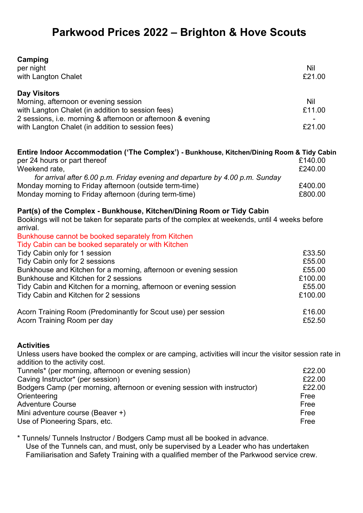## **Parkwood Prices 2022 – Brighton & Hove Scouts**

| Camping<br>per night<br>with Langton Chalet                                                                                                                                                                                           | Nil<br>£21.00                  |
|---------------------------------------------------------------------------------------------------------------------------------------------------------------------------------------------------------------------------------------|--------------------------------|
| <b>Day Visitors</b><br>Morning, afternoon or evening session<br>with Langton Chalet (in addition to session fees)<br>2 sessions, i.e. morning & afternoon or afternoon & evening<br>with Langton Chalet (in addition to session fees) | <b>Nil</b><br>£11.00<br>£21.00 |

| Entire Indoor Accommodation ('The Complex') - Bunkhouse, Kitchen/Dining Room & Tidy Cabin |         |
|-------------------------------------------------------------------------------------------|---------|
| per 24 hours or part thereof                                                              | £140.00 |
| Weekend rate,                                                                             | £240.00 |
| for arrival after 6.00 p.m. Friday evening and departure by 4.00 p.m. Sunday              |         |
| Monday morning to Friday afternoon (outside term-time)                                    | £400.00 |
| Monday morning to Friday afternoon (during term-time)                                     | £800.00 |

## **Part(s) of the Complex - Bunkhouse, Kitchen/Dining Room or Tidy Cabin**

Bookings will not be taken for separate parts of the complex at weekends, until 4 weeks before arrival.

| Bunkhouse cannot be booked separately from Kitchen                 |         |
|--------------------------------------------------------------------|---------|
| Tidy Cabin can be booked separately or with Kitchen                |         |
| Tidy Cabin only for 1 session                                      | £33.50  |
| Tidy Cabin only for 2 sessions                                     | £55.00  |
| Bunkhouse and Kitchen for a morning, afternoon or evening session  | £55.00  |
| Bunkhouse and Kitchen for 2 sessions                               | £100.00 |
| Tidy Cabin and Kitchen for a morning, afternoon or evening session | £55.00  |
| Tidy Cabin and Kitchen for 2 sessions                              | £100.00 |
| Acorn Training Room (Predominantly for Scout use) per session      | £16.00  |
| Acorn Training Room per day                                        | £52.50  |

## **Activities**

Unless users have booked the complex or are camping, activities will incur the visitor session rate in addition to the activity cost.

| £22.00 |
|--------|
| £22.00 |
| £22.00 |
| Free   |
| Free   |
| Free   |
| Free   |
|        |

\* Tunnels/ Tunnels Instructor / Bodgers Camp must all be booked in advance. Use of the Tunnels can, and must, only be supervised by a Leader who has undertaken Familiarisation and Safety Training with a qualified member of the Parkwood service crew.